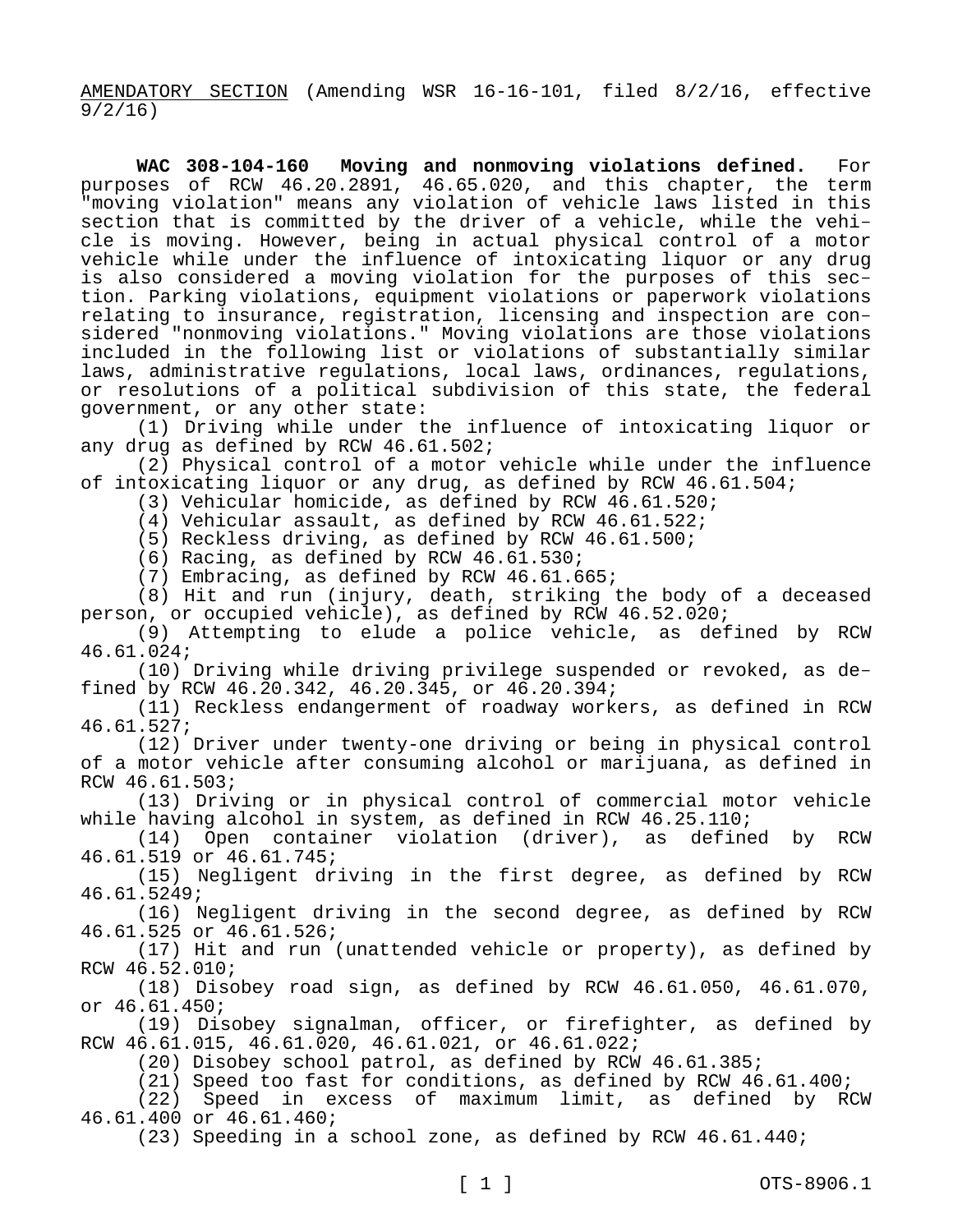AMENDATORY SECTION (Amending WSR 16-16-101, filed 8/2/16, effective 9/2/16)

**WAC 308-104-160 Moving and nonmoving violations defined.** For purposes of RCW 46.20.2891, 46.65.020, and this chapter, the term "moving violation" means any violation of vehicle laws listed in this section that is committed by the driver of a vehicle, while the vehicle is moving. However, being in actual physical control of a motor vehicle while under the influence of intoxicating liquor or any drug is also considered a moving violation for the purposes of this section. Parking violations, equipment violations or paperwork violations relating to insurance, registration, licensing and inspection are considered "nonmoving violations." Moving violations are those violations included in the following list or violations of substantially similar laws, administrative regulations, local laws, ordinances, regulations, or resolutions of a political subdivision of this state, the federal government, or any other state:

(1) Driving while under the influence of intoxicating liquor or any drug as defined by RCW 46.61.502;

(2) Physical control of a motor vehicle while under the influence of intoxicating liquor or any drug, as defined by RCW 46.61.504;

(3) Vehicular homicide, as defined by RCW 46.61.520;

(4) Vehicular assault, as defined by RCW 46.61.522;

(5) Reckless driving, as defined by RCW 46.61.500;

(6) Racing, as defined by RCW 46.61.530;

(7) Embracing, as defined by RCW 46.61.665;

(8) Hit and run (injury, death, striking the body of a deceased person, or occupied vehicle), as defined by RCW 46.52.020;

(9) Attempting to elude a police vehicle, as defined by RCW 46.61.024;

(10) Driving while driving privilege suspended or revoked, as defined by RCW 46.20.342, 46.20.345, or 46.20.394;

(11) Reckless endangerment of roadway workers, as defined in RCW 46.61.527;

(12) Driver under twenty-one driving or being in physical control of a motor vehicle after consuming alcohol or marijuana, as defined in RCW 46.61.503;

(13) Driving or in physical control of commercial motor vehicle while having alcohol in system, as defined in RCW 46.25.110;

(14) Open container violation (driver), as defined by RCW 46.61.519 or 46.61.745;

(15) Negligent driving in the first degree, as defined by RCW 46.61.5249;

(16) Negligent driving in the second degree, as defined by RCW 46.61.525 or 46.61.526;

(17) Hit and run (unattended vehicle or property), as defined by RCW 46.52.010;

(18) Disobey road sign, as defined by RCW 46.61.050, 46.61.070, or 46.61.450;

(19) Disobey signalman, officer, or firefighter, as defined by RCW 46.61.015, 46.61.020, 46.61.021, or 46.61.022;

(20) Disobey school patrol, as defined by RCW 46.61.385;

(21) Speed too fast for conditions, as defined by RCW 46.61.400;

(22) Speed in excess of maximum limit, as defined by RCW 46.61.400 or 46.61.460;

(23) Speeding in a school zone, as defined by RCW 46.61.440;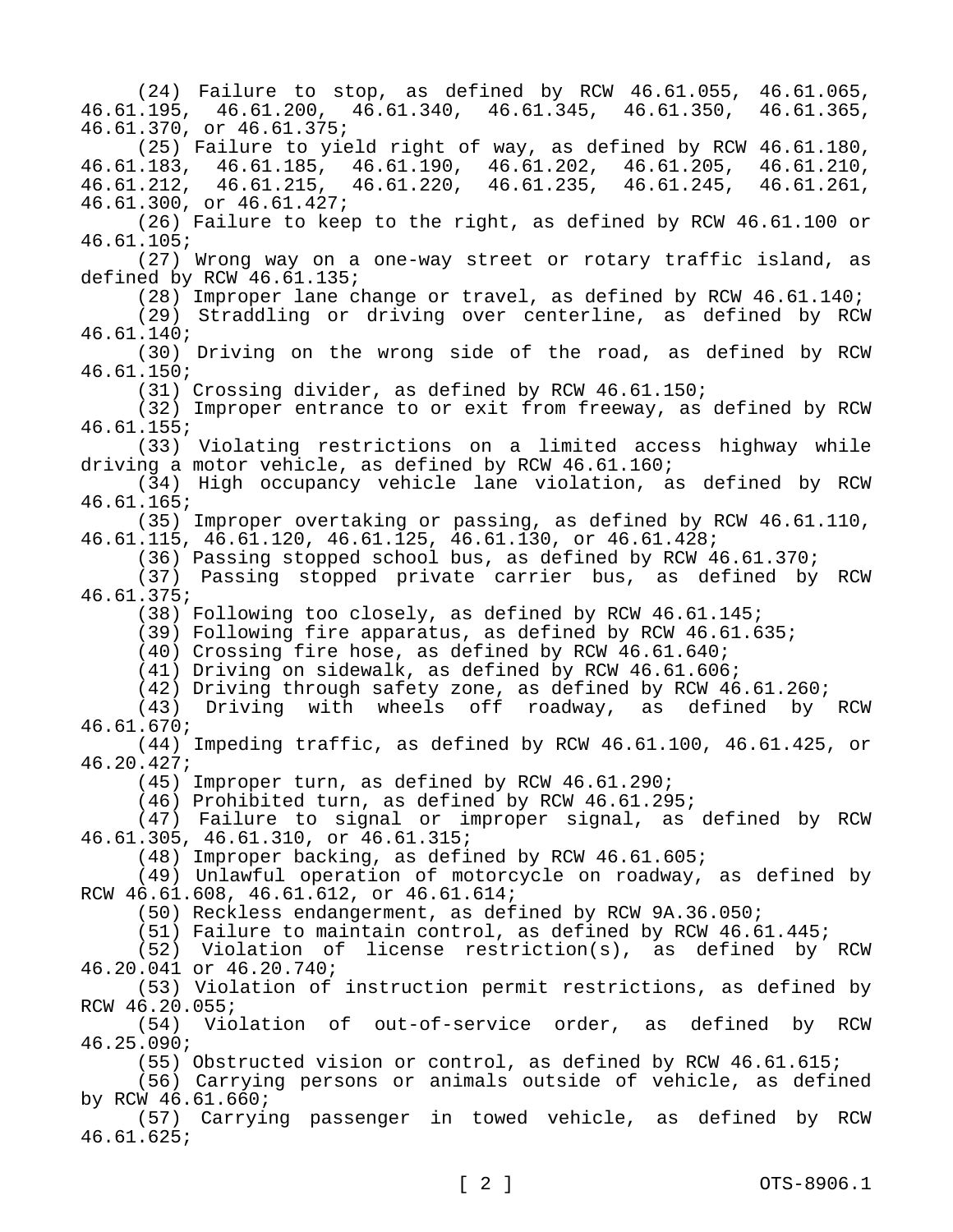(24) Failure to stop, as defined by RCW 46.61.055, 46.61.065, 46.61.195, 46.61.200, 46.61.340, 46.61.345, 46.61.350, 46.61.365, 46.61.370, or 46.61.375; (25) Failure to yield right of way, as defined by RCW 46.61.180,<br>183, 46.61.185, 46.61.190, 46.61.202, 46.61.205, 46.61.210, 46.61.183, 46.61.185, 46.61.190, 46.61.202, 46.61.205, 46.61.210, 46.61.212, 46.61.215, 46.61.220, 46.61.235, 46.61.245, 46.61.261, 46.61.300, or 46.61.427; (26) Failure to keep to the right, as defined by RCW 46.61.100 or 46.61.105; (27) Wrong way on a one-way street or rotary traffic island, as defined by RCW 46.61.135; (28) Improper lane change or travel, as defined by RCW 46.61.140; (29) Straddling or driving over centerline, as defined by RCW 46.61.140; (30) Driving on the wrong side of the road, as defined by RCW 46.61.150; (31) Crossing divider, as defined by RCW 46.61.150; (32) Improper entrance to or exit from freeway, as defined by RCW 46.61.155; (33) Violating restrictions on a limited access highway while driving a motor vehicle, as defined by RCW 46.61.160; (34) High occupancy vehicle lane violation, as defined by RCW 46.61.165; (35) Improper overtaking or passing, as defined by RCW 46.61.110, 46.61.115, 46.61.120, 46.61.125, 46.61.130, or 46.61.428; (36) Passing stopped school bus, as defined by RCW 46.61.370; (37) Passing stopped private carrier bus, as defined by RCW 46.61.375; (38) Following too closely, as defined by RCW 46.61.145; (39) Following fire apparatus, as defined by RCW 46.61.635; (40) Crossing fire hose, as defined by RCW 46.61.640; (41) Driving on sidewalk, as defined by RCW 46.61.606; (42) Driving through safety zone, as defined by RCW 46.61.260; (43) Driving with wheels off roadway, as defined by RCW 46.61.670; (44) Impeding traffic, as defined by RCW 46.61.100, 46.61.425, or 46.20.427; (45) Improper turn, as defined by RCW 46.61.290; (46) Prohibited turn, as defined by RCW 46.61.295; (47) Failure to signal or improper signal, as defined by RCW 46.61.305, 46.61.310, or 46.61.315; (48) Improper backing, as defined by RCW 46.61.605; (49) Unlawful operation of motorcycle on roadway, as defined by RCW 46.61.608, 46.61.612, or 46.61.614; (50) Reckless endangerment, as defined by RCW 9A.36.050; (51) Failure to maintain control, as defined by RCW 46.61.445; (52) Violation of license restriction(s), as defined by RCW 46.20.041 or 46.20.740; (53) Violation of instruction permit restrictions, as defined by RCW 46.20.055; (54) Violation of out-of-service order, as defined by RCW 46.25.090; (55) Obstructed vision or control, as defined by RCW 46.61.615; (56) Carrying persons or animals outside of vehicle, as defined by RCW 46.61.660; (57) Carrying passenger in towed vehicle, as defined by RCW 46.61.625;